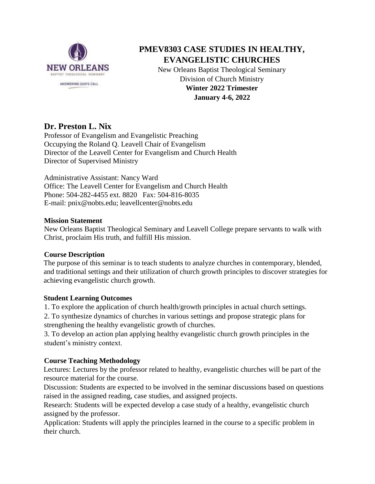

# **PMEV8303 CASE STUDIES IN HEALTHY, EVANGELISTIC CHURCHES**

New Orleans Baptist Theological Seminary Division of Church Ministry **Winter 2022 Trimester January 4-6, 2022**

# **Dr. Preston L. Nix**

Professor of Evangelism and Evangelistic Preaching Occupying the Roland Q. Leavell Chair of Evangelism Director of the Leavell Center for Evangelism and Church Health Director of Supervised Ministry

Administrative Assistant: Nancy Ward Office: The Leavell Center for Evangelism and Church Health Phone: 504-282-4455 ext. 8820 Fax: 504-816-8035 E-mail: pnix@nobts.edu; leavellcenter@nobts.edu

### **Mission Statement**

New Orleans Baptist Theological Seminary and Leavell College prepare servants to walk with Christ, proclaim His truth, and fulfill His mission.

### **Course Description**

The purpose of this seminar is to teach students to analyze churches in contemporary, blended, and traditional settings and their utilization of church growth principles to discover strategies for achieving evangelistic church growth.

### **Student Learning Outcomes**

1. To explore the application of church health/growth principles in actual church settings.

2. To synthesize dynamics of churches in various settings and propose strategic plans for strengthening the healthy evangelistic growth of churches.

3. To develop an action plan applying healthy evangelistic church growth principles in the student's ministry context.

## **Course Teaching Methodology**

Lectures: Lectures by the professor related to healthy, evangelistic churches will be part of the resource material for the course.

Discussion: Students are expected to be involved in the seminar discussions based on questions raised in the assigned reading, case studies, and assigned projects.

Research: Students will be expected develop a case study of a healthy, evangelistic church assigned by the professor.

Application: Students will apply the principles learned in the course to a specific problem in their church.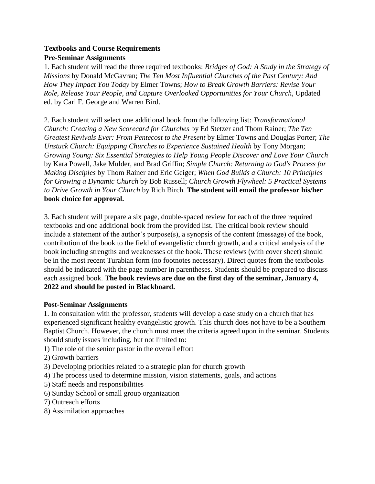## **Textbooks and Course Requirements Pre-Seminar Assignments**

1. Each student will read the three required textbooks: *Bridges of God: A Study in the Strategy of Missions* by Donald McGavran; *The Ten Most Influential Churches of the Past Century: And How They Impact You Today* by Elmer Towns; *How to Break Growth Barriers: Revise Your Role, Release Your People, and Capture Overlooked Opportunities for Your Church*, Updated ed. by Carl F. George and Warren Bird.

2. Each student will select one additional book from the following list: *Transformational Church: Creating a New Scorecard for Churches* by Ed Stetzer and Thom Rainer; *The Ten Greatest Revivals Ever: From Pentecost to the Present* by Elmer Towns and Douglas Porter; *The Unstuck Church: Equipping Churches to Experience Sustained Health* by Tony Morgan; *Growing Young: Six Essential Strategies to Help Young People Discover and Love Your Church*  by Kara Powell, Jake Mulder, and Brad Griffin; *Simple Church: Returning to God's Process for Making Disciples* by Thom Rainer and Eric Geiger; *When God Builds a Church: 10 Principles for Growing a Dynamic Church* by Bob Russell; *Church Growth Flywheel: 5 Practical Systems to Drive Growth in Your Church* by Rich Birch. **The student will email the professor his/her book choice for approval.**

3. Each student will prepare a six page, double-spaced review for each of the three required textbooks and one additional book from the provided list. The critical book review should include a statement of the author's purpose(s), a synopsis of the content (message) of the book, contribution of the book to the field of evangelistic church growth, and a critical analysis of the book including strengths and weaknesses of the book. These reviews (with cover sheet) should be in the most recent Turabian form (no footnotes necessary). Direct quotes from the textbooks should be indicated with the page number in parentheses. Students should be prepared to discuss each assigned book. **The book reviews are due on the first day of the seminar, January 4, 2022 and should be posted in Blackboard.** 

### **Post-Seminar Assignments**

1. In consultation with the professor, students will develop a case study on a church that has experienced significant healthy evangelistic growth. This church does not have to be a Southern Baptist Church. However, the church must meet the criteria agreed upon in the seminar. Students should study issues including, but not limited to:

- 1) The role of the senior pastor in the overall effort
- 2) Growth barriers
- 3) Developing priorities related to a strategic plan for church growth
- 4) The process used to determine mission, vision statements, goals, and actions
- 5) Staff needs and responsibilities
- 6) Sunday School or small group organization
- 7) Outreach efforts
- 8) Assimilation approaches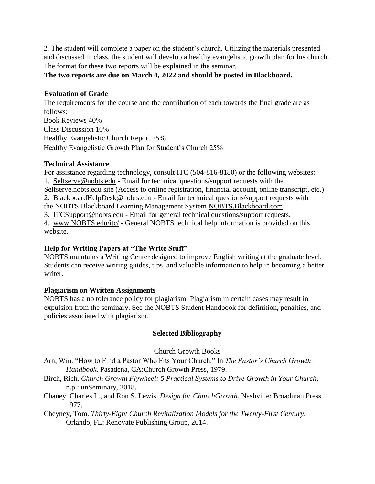2. The student will complete a paper on the student's church. Utilizing the materials presented and discussed in class, the student will develop a healthy evangelistic growth plan for his church. The format for these two reports will be explained in the seminar.

**The two reports are due on March 4, 2022 and should be posted in Blackboard.**

#### **Evaluation of Grade**

The requirements for the course and the contribution of each towards the final grade are as follows: Book Reviews 40% Class Discussion 10% Healthy Evangelistic Church Report 25% Healthy Evangelistic Growth Plan for Student's Church 25%

### **Technical Assistance**

For assistance regarding technology, consult ITC (504-816-8180) or the following websites: 1. Selfserve@nobts.edu - Email for technical questions/support requests with the Selfserve.nobts.edu site (Access to online registration, financial account, online transcript, etc.) 2. BlackboardHelpDesk@nobts.edu - Email for technical questions/support requests with the NOBTS Blackboard Learning Management System NOBTS.Blackboard.com. 3. ITCSupport@nobts.edu - Email for general technical questions/support requests. 4. www.NOBTS.edu/itc/ - General NOBTS technical help information is provided on this

website.

### **Help for Writing Papers at "The Write Stuff"**

NOBTS maintains a Writing Center designed to improve English writing at the graduate level. Students can receive writing guides, tips, and valuable information to help in becoming a better writer.

### **Plagiarism on Written Assignments**

NOBTS has a no tolerance policy for plagiarism. Plagiarism in certain cases may result in expulsion from the seminary. See the NOBTS Student Handbook for definition, penalties, and policies associated with plagiarism.

### **Selected Bibliography**

Church Growth Books

Arn, Win. "How to Find a Pastor Who Fits Your Church." In *The Pastor's Church Growth Handbook.* Pasadena, CA:Church Growth Press, 1979.

- Birch, Rich. *Church Growth Flywheel: 5 Practical Systems to Drive Growth in Your Church*. n.p.: unSeminary, 2018.
- Chaney, Charles L., and Ron S. Lewis. *Design for ChurchGrowth*. Nashville: Broadman Press, 1977.
- Cheyney, Tom. *Thirty-Eight Church Revitalization Models for the Twenty-First Century*. Orlando, FL: Renovate Publishing Group, 2014.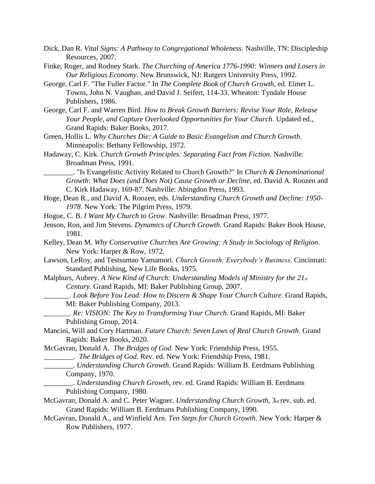- Dick, Dan R. *Vital Signs: A Pathway to Congregational Wholeness*. Nashville, TN: Discipleship Resources, 2007.
- Finke, Roger, and Rodney Stark. *The Churching of America 1776-1990: Winners and Losers in Our Religious Economy*. New Brunswick, NJ: Rutgers University Press, 1992.
- George, Carl F. "The Fuller Factor." In *The Complete Book of Church Growth*, ed. Elmer L. Towns, John N. Vaughan, and David J. Seifert, 114-33. Wheaton: Tyndale House Publishers, 1986.
- George, Carl F. and Warren Bird. *How to Break Growth Barriers: Revise Your Role, Release Your People, and Capture Overlooked Opportunities for Your Church*. Updated ed., Grand Rapids: Baker Books, 2017.
- Green, Hollis L. *Why Churches Die: A Guide to Basic Evangelism and Church Growth*. Minneapolis: Bethany Fellowship, 1972.
- Hadaway, C. Kirk. *Church Growth Principles: Separating Fact from Fiction*. Nashville: Broadman Press, 1991.
	- \_\_\_\_\_\_\_\_. "Is Evangelistic Activity Related to Church Growth?" In *Church & Denominational Growth: What Does (and Does Not) Cause Growth or Decline*, ed. David A. Roozen and C. Kirk Hadaway, 169-87. Nashville: Abingdon Press, 1993.
- Hoge, Dean R., and David A. Roozen, eds. *Understanding Church Growth and Decline: 1950- 1978*. New York: The Pilgrim Press, 1979.
- Hogue, C. B. *I Want My Church to Grow*. Nashville: Broadman Press, 1977.
- Jenson, Ron, and Jim Stevens. *Dynamics of Church Growth*. Grand Rapids: Baker Book House, 1981.
- Kelley, Dean M. *Why Conservative Churches Are Growing: A Study in Sociology of Religion*. New York: Harper & Row, 1972.
- Lawson, LeRoy, and Testsumao Yamamori. *Church Growth: Everybody's Business*. Cincinnati: Standard Publishing, New Life Books, 1975.
- Malphurs, Aubrey. *A New Kind of Church: Understanding Models of Ministry for the 21st Century.* Grand Rapids, MI: Baker Publishing Group, 2007.
	- \_\_\_\_\_\_\_. *Look Before You Lead: How to Discern & Shape Your Church Culture*. Grand Rapids, MI: Baker Publishing Company, 2013.
	- \_\_\_\_\_\_\_. *Re: VISION: The Key to Transforming Your Church*. Grand Rapids, MI: Baker Publishing Group, 2014.
- Mancini, Will and Cory Hartman. *Future Church: Seven Laws of Real Church Growth*. Grand Rapids: Baker Books, 2020.

McGavran, Donald A. *The Bridges of God*. New York: Friendship Press, 1955.

\_\_\_\_\_\_\_\_. *The Bridges of God*. Rev. ed. New York: Friendship Press, 1981.

- \_\_\_\_\_\_\_\_. *Understanding Church Growth*. Grand Rapids: William B. Eerdmans Publishing Company, 1970.
- \_\_\_\_\_\_\_\_. *Understanding Church Growth*, rev. ed. Grand Rapids: William B. Eerdmans Publishing Company, 1980.
- McGavran, Donald A. and C. Peter Wagner. *Understanding Church Growth*, 3rd rev. sub. ed. Grand Rapids: William B. Eerdmans Publishing Company, 1990.
- McGavran, Donald A., and Winfield Arn. *Ten Steps for Church Growth*. New York: Harper & Row Publishers, 1977.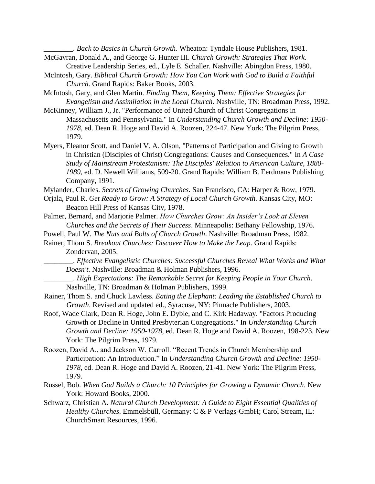\_\_\_\_\_\_\_\_. *Back to Basics in Church Growth*. Wheaton: Tyndale House Publishers, 1981. McGavran, Donald A., and George G. Hunter III. *Church Growth: Strategies That Work.* 

- Creative Leadership Series, ed., Lyle E. Schaller. Nashville: Abingdon Press, 1980. McIntosh, Gary. *Biblical Church Growth: How You Can Work with God to Build a Faithful* 
	- *Church*. Grand Rapids: Baker Books, 2003.
- McIntosh, Gary, and Glen Martin. *Finding Them, Keeping Them: Effective Strategies for Evangelism and Assimilation in the Local Church*. Nashville, TN: Broadman Press, 1992.
- McKinney, William J., Jr. "Performance of United Church of Christ Congregations in Massachusetts and Pennsylvania." In *Understanding Church Growth and Decline: 1950- 1978*, ed. Dean R. Hoge and David A. Roozen, 224-47. New York: The Pilgrim Press, 1979.
- Myers, Eleanor Scott, and Daniel V. A. Olson, "Patterns of Participation and Giving to Growth in Christian (Disciples of Christ) Congregations: Causes and Consequences." In *A Case Study of Mainstream Protestanism: The Disciples' Relation to American Culture, 1880- 1989,* ed. D. Newell Williams, 509-20. Grand Rapids: William B. Eerdmans Publishing Company, 1991.
- Mylander, Charles. *Secrets of Growing Churches.* San Francisco, CA: Harper & Row, 1979.
- Orjala, Paul R. *Get Ready to Grow: A Strategy of Local Church Growth.* Kansas City, MO: Beacon Hill Press of Kansas City, 1978.
- Palmer, Bernard, and Marjorie Palmer. *How Churches Grow: An Insider's Look at Eleven Churches and the Secrets of Their Success*. Minneapolis: Bethany Fellowship, 1976.
- Powell, Paul W. *The Nuts and Bolts of Church Growth*. Nashville: Broadman Press, 1982.
- Rainer, Thom S. *Breakout Churches: Discover How to Make the Leap*. Grand Rapids: Zondervan, 2005.
	- \_\_\_\_\_\_\_\_. *Effective Evangelistic Churches: Successful Churches Reveal What Works and What Doesn't*. Nashville: Broadman & Holman Publishers, 1996.
	- \_\_\_\_\_\_\_\_. *High Expectations: The Remarkable Secret for Keeping People in Your Church*. Nashville, TN: Broadman & Holman Publishers, 1999.
- Rainer, Thom S. and Chuck Lawless. *Eating the Elephant: Leading the Established Church to Growth*. Revised and updated ed., Syracuse, NY: Pinnacle Publishers, 2003.
- Roof, Wade Clark, Dean R. Hoge, John E. Dyble, and C. Kirk Hadaway. "Factors Producing Growth or Decline in United Presbyterian Congregations." In *Understanding Church Growth and Decline: 1950-1978*, ed. Dean R. Hoge and David A. Roozen, 198-223. New York: The Pilgrim Press, 1979.
- Roozen, David A., and Jackson W. Carroll. "Recent Trends in Church Membership and Participation: An Introduction." In *Understanding Church Growth and Decline: 1950- 1978*, ed. Dean R. Hoge and David A. Roozen, 21-41. New York: The Pilgrim Press, 1979.
- Russel, Bob. *When God Builds a Church: 10 Principles for Growing a Dynamic Church*. New York: Howard Books, 2000.
- Schwarz, Christian A. *Natural Church Development: A Guide to Eight Essential Qualities of Healthy Churches*. Emmelsbüll, Germany: C & P Verlags-GmbH; Carol Stream, IL: ChurchSmart Resources, 1996.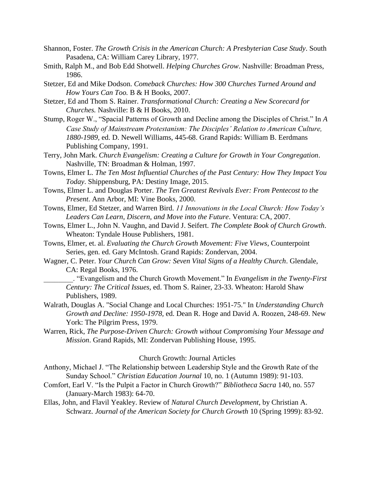- Shannon, Foster. *The Growth Crisis in the American Church: A Presbyterian Case Study*. South Pasadena, CA: William Carey Library, 1977.
- Smith, Ralph M., and Bob Edd Shotwell. *Helping Churches Grow*. Nashville: Broadman Press, 1986.
- Stetzer, Ed and Mike Dodson. *Comeback Churches: How 300 Churches Turned Around and How Yours Can Too.* B & H Books, 2007.
- Stetzer, Ed and Thom S. Rainer. *Transformational Church: Creating a New Scorecard for Churches.* Nashville: B & H Books, 2010.
- Stump, Roger W., "Spacial Patterns of Growth and Decline among the Disciples of Christ." In *A Case Study of Mainstream Protestanism: The Disciples' Relation to American Culture, 1880-1989,* ed. D. Newell Williams, 445-68. Grand Rapids: William B. Eerdmans Publishing Company, 1991.
- Terry, John Mark. *Church Evangelism: Creating a Culture for Growth in Your Congregation*. Nashville, TN: Broadman & Holman, 1997.
- Towns, Elmer L. *The Ten Most Influential Churches of the Past Century: How They Impact You Today*. Shippensburg, PA: Destiny Image, 2015.
- Towns, Elmer L. and Douglas Porter. *The Ten Greatest Revivals Ever: From Pentecost to the Present*. Ann Arbor, MI: Vine Books, 2000.
- Towns, Elmer, Ed Stetzer, and Warren Bird. *11 Innovations in the Local Church: How Today's Leaders Can Learn, Discern, and Move into the Future*. Ventura: CA, 2007.
- Towns, Elmer L., John N. Vaughn, and David J. Seifert. *The Complete Book of Church Growth*. Wheaton: Tyndale House Publishers, 1981.
- Towns, Elmer, et. al. *Evaluating the Church Growth Movement: Five Views*, Counterpoint Series, gen. ed. Gary McIntosh. Grand Rapids: Zondervan, 2004.
- Wagner, C. Peter. *Your Church Can Grow: Seven Vital Signs of a Healthy Church*. Glendale, CA: Regal Books, 1976.
	- \_\_\_\_\_\_\_\_. "Evangelism and the Church Growth Movement." In *Evangelism in the Twenty-First Century: The Critical Issues,* ed. Thom S. Rainer, 23-33. Wheaton: Harold Shaw Publishers, 1989.
- Walrath, Douglas A. "Social Change and Local Churches: 1951-75." In *Understanding Church Growth and Decline: 1950-1978,* ed. Dean R. Hoge and David A. Roozen, 248-69. New York: The Pilgrim Press, 1979.
- Warren, Rick, *The Purpose-Driven Church: Growth without Compromising Your Message and Mission*. Grand Rapids, MI: Zondervan Publishing House, 1995.

#### Church Growth: Journal Articles

- Anthony, Michael J. "The Relationship between Leadership Style and the Growth Rate of the Sunday School." *Christian Education Journal* 10, no. 1 (Autumn 1989): 91-103.
- Comfort, Earl V. "Is the Pulpit a Factor in Church Growth?" *Bibliotheca Sacra* 140, no. 557 (January-March 1983): 64-70.
- Ellas, John, and Flavil Yeakley. Review of *Natural Church Development*, by Christian A. Schwarz. *Journal of the American Society for Church Growth* 10 (Spring 1999): 83-92.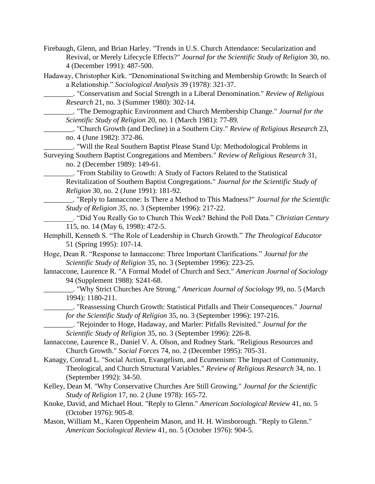Firebaugh, Glenn, and Brian Harley. "Trends in U.S. Church Attendance: Secularization and Revival, or Merely Lifecycle Effects?" *Journal for the Scientific Study of Religion* 30, no. 4 (December 1991): 487-500.

Hadaway, Christopher Kirk. "Denominational Switching and Membership Growth: In Search of a Relationship." *Sociological Analysis* 39 (1978): 321-37.

\_\_\_\_\_\_\_\_. "Conservatism and Social Strength in a Liberal Denomination." *Review of Religious Research* 21, no. 3 (Summer 1980): 302-14.

\_\_\_\_\_\_\_\_. "The Demographic Environment and Church Membership Change." *Journal for the Scientific Study of Religion* 20, no. 1 (March 1981): 77-89.

\_\_\_\_\_\_\_\_. "Church Growth (and Decline) in a Southern City." *Review of Religious Research* 23, no. 4 (June 1982): 372-86.

\_\_\_\_\_\_\_\_. "Will the Real Southern Baptist Please Stand Up: Methodological Problems in Surveying Southern Baptist Congregations and Members." *Review of Religious Research* 31,

no. 2 (December 1989): 149-61.

\_\_\_\_\_\_\_\_. "From Stability to Growth: A Study of Factors Related to the Statistical Revitalization of Southern Baptist Congregations." *Journal for the Scientific Study of Religion* 30, no. 2 (June 1991): 181-92.

\_\_\_\_\_\_\_\_. "Reply to Iannaccone: Is There a Method to This Madness?" *Journal for the Scientific Study of Religion 35*, no. 3 (September 1996): 217-22.

\_\_\_\_\_\_\_\_. "Did You Really Go to Church This Week? Behind the Poll Data." *Christian Century*  115, no. 14 (May 6, 1998): 472-5.

Hemphill, Kenneth S. "The Role of Leadership in Church Growth." *The Theological Educator*  51 (Spring 1995): 107-14.

Hoge, Dean R. "Response to Iannaccone: Three Important Clarifications." *Journal for the Scientific Study of Religion* 35, no. 3 (September 1996): 223-25.

Iannaccone, Laurence R. "A Formal Model of Church and Sect." *American Journal of Sociology*  94 (Supplement 1988): S241-68.

\_\_\_\_\_\_\_\_. "Why Strict Churches Are Strong." *American Journal of Sociology* 99, no. 5 (March 1994): 1180-211.

\_\_\_\_\_\_\_\_. "Reassessing Church Growth: Statistical Pitfalls and Their Consequences." *Journal for the Scientific Study of Religion* 35, no. 3 (September 1996): 197-216.

\_\_\_\_\_\_\_\_. "Rejoinder to Hoge, Hadaway, and Marler: Pitfalls Revisited." *Journal for the Scientific Study of Religion* 35, no. 3 (September 1996): 226-8.

Iannaccone, Laurence R., Daniel V. A. Olson, and Rodney Stark. "Religious Resources and Church Growth." *Social Forces* 74, no. 2 (December 1995): 705-31.

Kanagy, Conrad L. "Social Action, Evangelism, and Ecumenism: The Impact of Community, Theological, and Church Structural Variables." *Review of Religious Research* 34, no. 1 (September 1992): 34-50.

Kelley, Dean M. "Why Conservative Churches Are Still Growing." *Journal for the Scientific Study of Religion* 17, no. 2 (June 1978): 165-72.

Knoke, David, and Michael Hout. "Reply to Glenn." *American Sociological Review* 41, no. 5 (October 1976): 905-8.

Mason, William M., Karen Oppenheim Mason, and H. H. Winsborough. "Reply to Glenn." *American Sociological Review* 41, no. 5 (October 1976): 904-5.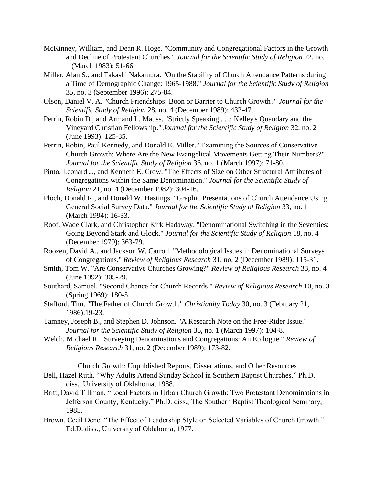- McKinney, William, and Dean R. Hoge. "Community and Congregational Factors in the Growth and Decline of Protestant Churches." *Journal for the Scientific Study of Religion* 22, no. 1 (March 1983): 51-66.
- Miller, Alan S., and Takashi Nakamura. "On the Stability of Church Attendance Patterns during a Time of Demographic Change: 1965-1988." *Journal for the Scientific Study of Religion*  35, no. 3 (September 1996): 275-84.
- Olson, Daniel V. A. "Church Friendships: Boon or Barrier to Church Growth?" *Journal for the Scientific Study of Religion* 28, no. 4 (December 1989): 432-47.
- Perrin, Robin D., and Armand L. Mauss. "Strictly Speaking . . .: Kelley's Quandary and the Vineyard Christian Fellowship." *Journal for the Scientific Study of Religion* 32, no. 2 (June 1993): 125-35.
- Perrin, Robin, Paul Kennedy, and Donald E. Miller. "Examining the Sources of Conservative Church Growth: Where Are the New Evangelical Movements Getting Their Numbers?" *Journal for the Scientific Study of Religion* 36, no. 1 (March 1997): 71-80.
- Pinto, Leonard J., and Kenneth E. Crow. "The Effects of Size on Other Structural Attributes of Congregations within the Same Denomination." *Journal for the Scientific Study of Religion* 21, no. 4 (December 1982): 304-16.
- Ploch, Donald R., and Donald W. Hastings. "Graphic Presentations of Church Attendance Using General Social Survey Data." *Journal for the Scientific Study of Religion* 33, no. 1 (March 1994): 16-33.
- Roof, Wade Clark, and Christopher Kirk Hadaway. "Denominational Switching in the Seventies: Going Beyond Stark and Glock." *Journal for the Scientific Study of Religion* 18, no. 4 (December 1979): 363-79.
- Roozen, David A., and Jackson W. Carroll. "Methodological Issues in Denominational Surveys of Congregations." *Review of Religious Research* 31, no. 2 (December 1989): 115-31.
- Smith, Tom W. "Are Conservative Churches Growing?" *Review of Religious Research* 33, no. 4 (June 1992): 305-29.
- Southard, Samuel. "Second Chance for Church Records." *Review of Religious Research* 10, no. 3 (Spring 1969): 180-5.
- Stafford, Tim. "The Father of Church Growth." *Christianity Today* 30, no. 3 (February 21, 1986):19-23.
- Tamney, Joseph B., and Stephen D. Johnson. "A Research Note on the Free-Rider Issue." *Journal for the Scientific Study of Religion* 36, no. 1 (March 1997): 104-8.
- Welch, Michael R. "Surveying Denominations and Congregations: An Epilogue." *Review of Religious Research* 31, no. 2 (December 1989): 173-82.

Church Growth: Unpublished Reports, Dissertations, and Other Resources

- Bell, Hazel Ruth. "Why Adults Attend Sunday School in Southern Baptist Churches." Ph.D. diss., University of Oklahoma, 1988.
- Britt, David Tillman. "Local Factors in Urban Church Growth: Two Protestant Denominations in Jefferson County, Kentucky." Ph.D. diss., The Southern Baptist Theological Seminary, 1985.
- Brown, Cecil Dene. "The Effect of Leadership Style on Selected Variables of Church Growth." Ed.D. diss., University of Oklahoma, 1977.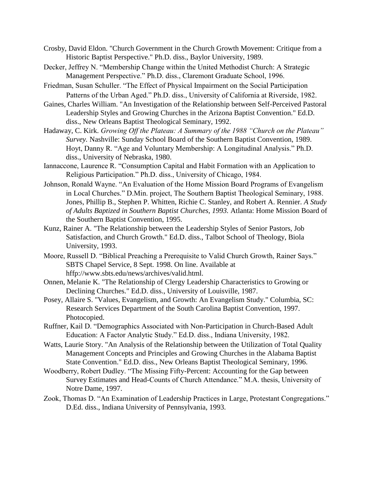- Crosby, David Eldon. "Church Government in the Church Growth Movement: Critique from a Historic Baptist Perspective." Ph.D. diss., Baylor University, 1989.
- Decker, Jeffrey N. "Membership Change within the United Methodist Church: A Strategic Management Perspective." Ph.D. diss., Claremont Graduate School, 1996.
- Friedman, Susan Schuller. "The Effect of Physical Impairment on the Social Participation Patterns of the Urban Aged." Ph.D. diss., University of California at Riverside, 1982.
- Gaines, Charles William. "An Investigation of the Relationship between Self-Perceived Pastoral Leadership Styles and Growing Churches in the Arizona Baptist Convention." Ed.D. diss., New Orleans Baptist Theological Seminary, 1992.
- Hadaway, C. Kirk. *Growing Off the Plateau: A Summary of the 1988 "Church on the Plateau" Survey.* Nashville: Sunday School Board of the Southern Baptist Convention, 1989. Hoyt, Danny R. "Age and Voluntary Membership: A Longitudinal Analysis." Ph.D. diss., University of Nebraska, 1980.
- Iannaccone, Laurence R. "Consumption Capital and Habit Formation with an Application to Religious Participation." Ph.D. diss., University of Chicago, 1984.
- Johnson, Ronald Wayne. "An Evaluation of the Home Mission Board Programs of Evangelism in Local Churches." D.Min. project, The Southern Baptist Theological Seminary, 1988. Jones, Phillip B., Stephen P. Whitten, Richie C. Stanley, and Robert A. Rennier. *A Study of Adults Baptized in Southern Baptist Churches, 1993.* Atlanta: Home Mission Board of the Southern Baptist Convention, 1995.
- Kunz, Rainer A. "The Relationship between the Leadership Styles of Senior Pastors, Job Satisfaction, and Church Growth." Ed.D. diss., Talbot School of Theology, Biola University, 1993.
- Moore, Russell D. "Biblical Preaching a Prerequisite to Valid Church Growth, Rainer Says." SBTS Chapel Service, 8 Sept. 1998. On line. Available at hffp://www.sbts.edu/news/archives/valid.html.
- Onnen, Melanie K. "The Relationship of Clergy Leadership Characteristics to Growing or Declining Churches." Ed.D. diss., University of Louisville, 1987.
- Posey, Allaire S. "Values, Evangelism, and Growth: An Evangelism Study." Columbia, SC: Research Services Department of the South Carolina Baptist Convention, 1997. Photocopied.
- Ruffner, Kail D. "Demographics Associated with Non-Participation in Church-Based Adult Education: A Factor Analytic Study." Ed.D. diss., Indiana University, 1982.
- Watts, Laurie Story. "An Analysis of the Relationship between the Utilization of Total Quality Management Concepts and Principles and Growing Churches in the Alabama Baptist State Convention." Ed.D. diss., New Orleans Baptist Theological Seminary, 1996.
- Woodberry, Robert Dudley. "The Missing Fifty-Percent: Accounting for the Gap between Survey Estimates and Head-Counts of Church Attendance." M.A. thesis, University of Notre Dame, 1997.
- Zook, Thomas D. "An Examination of Leadership Practices in Large, Protestant Congregations." D.Ed. diss., Indiana University of Pennsylvania, 1993.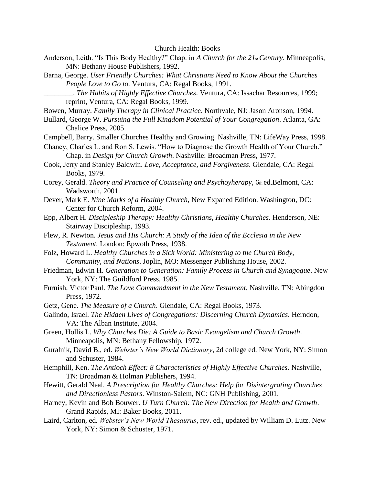- Anderson, Leith. "Is This Body Healthy?" Chap. in *A Church for the 21st Century*. Minneapolis, MN: Bethany House Publishers, 1992.
- Barna, George. *User Friendly Churches: What Christians Need to Know About the Churches People Love to Go to.* Ventura, CA: Regal Books, 1991.
	- \_\_\_\_\_\_\_\_. *The Habits of Highly Effective Churches*. Ventura, CA: Issachar Resources, 1999; reprint, Ventura, CA: Regal Books, 1999.
- Bowen, Murray. *Family Therapy in Clinical Practice*. Northvale, NJ: Jason Aronson, 1994.
- Bullard, George W. *Pursuing the Full Kingdom Potential of Your Congregation*. Atlanta, GA: Chalice Press, 2005.
- Campbell, Barry. Smaller Churches Healthy and Growing. Nashville, TN: LifeWay Press, 1998.
- Chaney, Charles L. and Ron S. Lewis. "How to Diagnose the Growth Health of Your Church." Chap. in *Design for Church Growth*. Nashville: Broadman Press, 1977.
- Cook, Jerry and Stanley Baldwin. *Love, Acceptance, and Forgiveness*. Glendale, CA: Regal Books, 1979.
- Corey, Gerald. *Theory and Practice of Counseling and Psychoyherapy*, 6th ed.Belmont, CA: Wadsworth, 2001.
- Dever, Mark E. *Nine Marks of a Healthy Church*, New Expaned Edition. Washington, DC: Center for Church Reform, 2004.
- Epp, Albert H. *Discipleship Therapy: Healthy Christians, Healthy Churches*. Henderson, NE: Stairway Discipleship, 1993.
- Flew, R. Newton. *Jesus and His Church: A Study of the Idea of the Ecclesia in the New Testament.* London: Epwoth Press, 1938.
- Folz, Howard L. *Healthy Churches in a Sick World: Ministering to the Church Body, Community, and Nations*. Joplin, MO: Messenger Publishing House, 2002.
- Friedman, Edwin H. *Generation to Generation: Family Process in Church and Synagogue*. New York, NY: The Guildford Press, 1985.
- Furnish, Victor Paul. *The Love Commandment in the New Testament.* Nashville, TN: Abingdon Press, 1972.
- Getz, Gene. *The Measure of a Church*. Glendale, CA: Regal Books, 1973.
- Galindo, Israel. *The Hidden Lives of Congregations: Discerning Church Dynamics*. Herndon, VA: The Alban Institute, 2004.
- Green, Hollis L. *Why Churches Die: A Guide to Basic Evangelism and Church Growth*. Minneapolis, MN: Bethany Fellowship, 1972.
- Guralnik, David B., ed. *Webster's New World Dictionary*, 2d college ed. New York, NY: Simon and Schuster, 1984.
- Hemphill, Ken. *The Antioch Effect: 8 Characteristics of Highly Effective Churches*. Nashville, TN: Broadman & Holman Publishers, 1994.
- Hewitt, Gerald Neal. *A Prescription for Healthy Churches: Help for Disintergrating Churches and Directionless Pastors*. Winston-Salem, NC: GNH Publishing, 2001.
- Harney, Kevin and Bob Bouwer. *U Turn Church: The New Direction for Health and Growth*. Grand Rapids, MI: Baker Books, 2011.
- Laird, Carlton, ed. *Webster's New World Thesaurus*, rev. ed., updated by William D. Lutz. New York, NY: Simon & Schuster, 1971.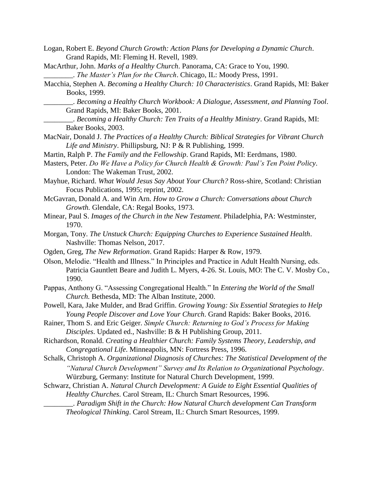- Logan, Robert E. *Beyond Church Growth: Action Plans for Developing a Dynamic Church*. Grand Rapids, MI: Fleming H. Revell, 1989.
- MacArthur, John. *Marks of a Healthy Church*. Panorama, CA: Grace to You, 1990.

- Macchia, Stephen A. *Becoming a Healthy Church: 10 Characteristics*. Grand Rapids, MI: Baker Books, 1999.
	- \_\_\_\_\_\_\_\_. *Becoming a Healthy Church Workbook: A Dialogue, Assessment, and Planning Tool*. Grand Rapids, MI: Baker Books, 2001.
	- \_\_\_\_\_\_\_\_. *Becoming a Healthy Church: Ten Traits of a Healthy Ministry*. Grand Rapids, MI: Baker Books, 2003.
- MacNair, Donald J. *The Practices of a Healthy Church: Biblical Strategies for Vibrant Church Life and Ministry*. Phillipsburg, NJ: P & R Publishing, 1999.
- Martin, Ralph P. *The Family and the Fellowship*. Grand Rapids, MI: Eerdmans, 1980.
- Masters, Peter. *Do We Have a Policy for Church Health & Growth: Paul's Ten Point Policy*. London: The Wakeman Trust, 2002.
- Mayhue, Richard. *What Would Jesus Say About Your Church?* Ross-shire, Scotland: Christian Focus Publications, 1995; reprint, 2002.
- McGavran, Donald A. and Win Arn. *How to Grow a Church: Conversations about Church Growth.* Glendale, CA: Regal Books, 1973.
- Minear, Paul S. *Images of the Church in the New Testament*. Philadelphia, PA: Westminster, 1970.
- Morgan, Tony. *The Unstuck Church: Equipping Churches to Experience Sustained Health*. Nashville: Thomas Nelson, 2017.
- Ogden, Greg, *The New Reformation*. Grand Rapids: Harper & Row, 1979.
- Olson, Melodie. "Health and Illness." In Principles and Practice in Adult Health Nursing, eds. Patricia Gauntlett Beare and Judith L. Myers, 4-26. St. Louis, MO: The C. V. Mosby Co., 1990.
- Pappas, Anthony G. "Assessing Congregational Health." In *Entering the World of the Small Church.* Bethesda, MD: The Alban Institute, 2000.
- Powell, Kara, Jake Mulder, and Brad Griffin. *Growing Young: Six Essential Strategies to Help Young People Discover and Love Your Church*. Grand Rapids: Baker Books, 2016.
- Rainer, Thom S. and Eric Geiger. *Simple Church: Returning to God's Process for Making Disciples*. Updated ed., Nashville: B & H Publishing Group, 2011.
- Richardson, Ronald. *Creating a Healthier Church: Family Systems Theory, Leadership, and Congregational Life*. Minneapolis, MN: Fortress Press, 1996.
- Schalk, Christoph A. *Organizational Diagnosis of Churches: The Statistical Development of the "Natural Church Development" Survey and Its Relation to Organizational Psychology*. Würzburg, Germany: Institute for Natural Church Development, 1999.
- Schwarz, Christian A. *Natural Church Development: A Guide to Eight Essential Qualities of Healthy Churches*. Carol Stream, IL: Church Smart Resources, 1996. \_\_\_\_\_\_\_\_. *Paradigm Shift in the Church: How Natural Church development Can Transform* 
	- *Theological Thinking*. Carol Stream, IL: Church Smart Resources, 1999.

\_\_\_\_\_\_\_\_. *The Master's Plan for the Church*. Chicago, IL: Moody Press, 1991.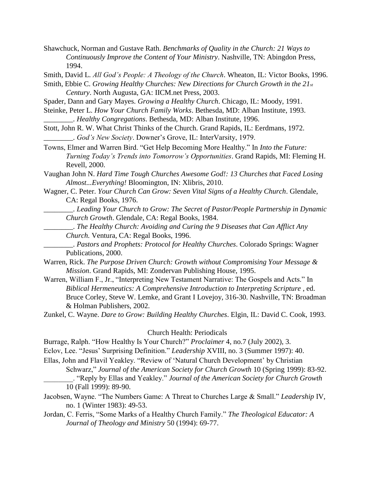Shawchuck, Norman and Gustave Rath. *Benchmarks of Quality in the Church: 21 Ways to Continuously Improve the Content of Your Ministry*. Nashville, TN: Abingdon Press, 1994.

Smith, David L. *All God's People: A Theology of the Church*. Wheaton, IL: Victor Books, 1996.

Smith, Ebbie C. *Growing Healthy Churches: New Directions for Church Growth in the 21st Century*. North Augusta, GA: IICM.net Press, 2003.

Spader, Dann and Gary Mayes. *Growing a Healthy Church*. Chicago, IL: Moody, 1991.

Steinke, Peter L. *How Your Church Family Works*. Bethesda, MD: Alban Institute, 1993. \_\_\_\_\_\_\_\_. *Healthy Congregations*. Bethesda, MD: Alban Institute, 1996.

Stott, John R. W. What Christ Thinks of the Church. Grand Rapids, IL: Eerdmans, 1972. \_\_\_\_\_\_\_\_. *God's New Society*. Downer's Grove, IL: InterVarsity, 1979.

Towns, Elmer and Warren Bird. "Get Help Becoming More Healthy." In *Into the Future: Turning Today's Trends into Tomorrow's Opportunities*. Grand Rapids, MI: Fleming H. Revell, 2000.

Vaughan John N. *Hard Time Tough Churches Awesome God!: 13 Churches that Faced Losing Almost...Everything!* Bloomington, IN: Xlibris, 2010.

Wagner, C. Peter. *Your Church Can Grow: Seven Vital Signs of a Healthy Church*. Glendale, CA: Regal Books, 1976.

\_\_\_\_\_\_\_\_. *Leading Your Church to Grow: The Secret of Pastor/People Partnership in Dynamic Church Growth*. Glendale, CA: Regal Books, 1984.

\_\_\_\_\_\_\_\_. *The Healthy Church: Avoiding and Curing the 9 Diseases that Can Afflict Any Church.* Ventura, CA: Regal Books, 1996.

\_\_\_\_\_\_\_\_. *Pastors and Prophets: Protocol for Healthy Churches*. Colorado Springs: Wagner Publications, 2000.

Warren, Rick. *The Purpose Driven Church: Growth without Compromising Your Message & Mission*. Grand Rapids, MI: Zondervan Publishing House, 1995.

Warren, William F., Jr., "Interpreting New Testament Narrative: The Gospels and Acts." In *Biblical Hermeneutics: A Comprehensive Introduction to Interpreting Scripture* , ed. Bruce Corley, Steve W. Lemke, and Grant I Lovejoy, 316-30. Nashville, TN: Broadman & Holman Publishers, 2002.

Zunkel, C. Wayne. *Dare to Grow: Building Healthy Churches*. Elgin, IL: David C. Cook, 1993.

#### Church Health: Periodicals

Burrage, Ralph. "How Healthy Is Your Church?" *Proclaimer* 4, no.7 (July 2002), 3.

Eclov, Lee. "Jesus' Surprising Definition." *Leadership* XVIII, no. 3 (Summer 1997): 40.

Ellas, John and Flavil Yeakley. "Review of 'Natural Church Development' by Christian

Schwarz," *Journal of the American Society for Church Growth* 10 (Spring 1999): 83-92.

- \_\_\_\_\_\_\_\_. "Reply by Ellas and Yeakley." *Journal of the American Society for Church Growth*  10 (Fall 1999): 89-90.
- Jacobsen, Wayne. "The Numbers Game: A Threat to Churches Large & Small." *Leadership* IV, no. 1 (Winter 1983): 49-53.
- Jordan, C. Ferris, "Some Marks of a Healthy Church Family." *The Theological Educator: A Journal of Theology and Ministry* 50 (1994): 69-77.